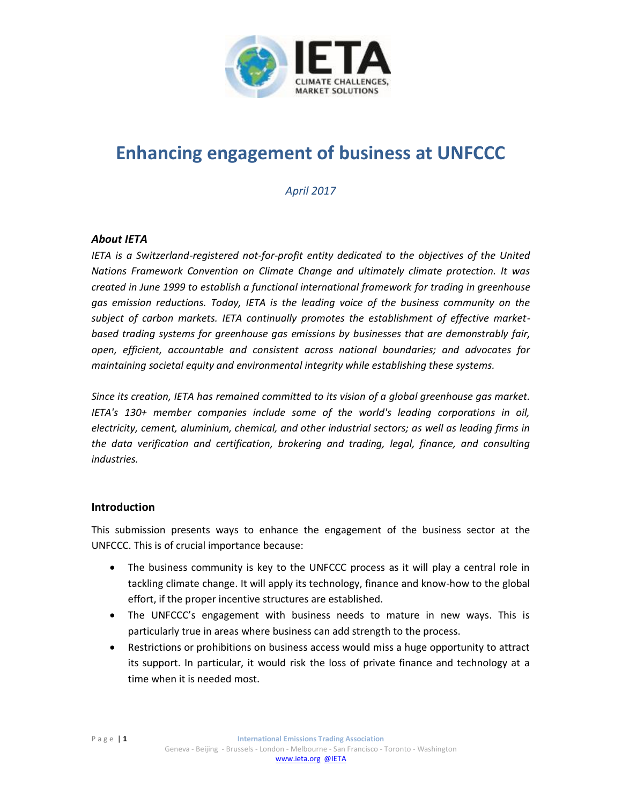

# **Enhancing engagement of business at UNFCCC**

*April 2017*

# *About IETA*

*IETA is a Switzerland-registered not-for-profit entity dedicated to the objectives of the United Nations Framework Convention on Climate Change and ultimately climate protection. It was created in June 1999 to establish a functional international framework for trading in greenhouse gas emission reductions. Today, IETA is the leading voice of the business community on the subject of carbon markets. IETA continually promotes the establishment of effective marketbased trading systems for greenhouse gas emissions by businesses that are demonstrably fair, open, efficient, accountable and consistent across national boundaries; and advocates for maintaining societal equity and environmental integrity while establishing these systems.* 

*Since its creation, IETA has remained committed to its vision of a global greenhouse gas market. IETA's 130+ member companies include some of the world's leading corporations in oil, electricity, cement, aluminium, chemical, and other industrial sectors; as well as leading firms in the data verification and certification, brokering and trading, legal, finance, and consulting industries.*

#### **Introduction**

This submission presents ways to enhance the engagement of the business sector at the UNFCCC. This is of crucial importance because:

- The business community is key to the UNFCCC process as it will play a central role in tackling climate change. It will apply its technology, finance and know-how to the global effort, if the proper incentive structures are established.
- The UNFCCC's engagement with business needs to mature in new ways. This is particularly true in areas where business can add strength to the process.
- Restrictions or prohibitions on business access would miss a huge opportunity to attract its support. In particular, it would risk the loss of private finance and technology at a time when it is needed most.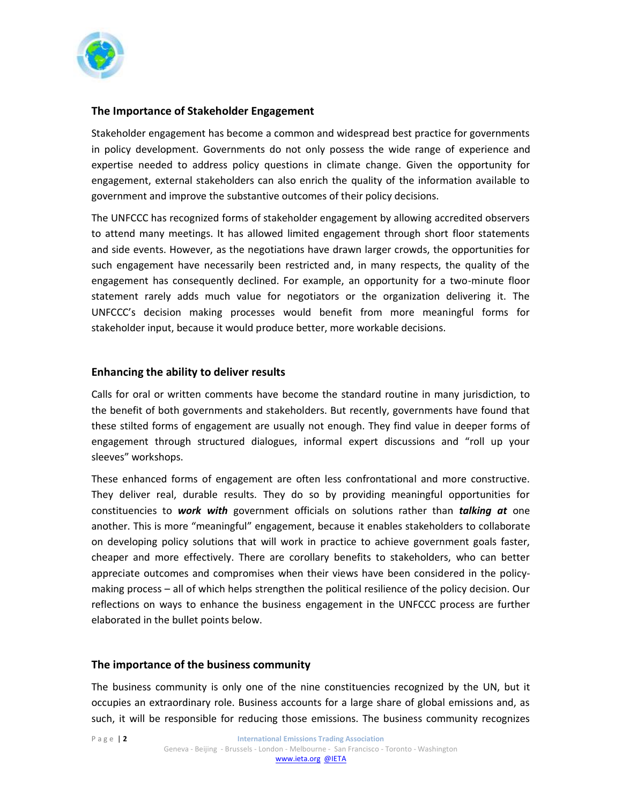

# **The Importance of Stakeholder Engagement**

Stakeholder engagement has become a common and widespread best practice for governments in policy development. Governments do not only possess the wide range of experience and expertise needed to address policy questions in climate change. Given the opportunity for engagement, external stakeholders can also enrich the quality of the information available to government and improve the substantive outcomes of their policy decisions.

The UNFCCC has recognized forms of stakeholder engagement by allowing accredited observers to attend many meetings. It has allowed limited engagement through short floor statements and side events. However, as the negotiations have drawn larger crowds, the opportunities for such engagement have necessarily been restricted and, in many respects, the quality of the engagement has consequently declined. For example, an opportunity for a two-minute floor statement rarely adds much value for negotiators or the organization delivering it. The UNFCCC's decision making processes would benefit from more meaningful forms for stakeholder input, because it would produce better, more workable decisions.

#### **Enhancing the ability to deliver results**

Calls for oral or written comments have become the standard routine in many jurisdiction, to the benefit of both governments and stakeholders. But recently, governments have found that these stilted forms of engagement are usually not enough. They find value in deeper forms of engagement through structured dialogues, informal expert discussions and "roll up your sleeves" workshops.

These enhanced forms of engagement are often less confrontational and more constructive. They deliver real, durable results. They do so by providing meaningful opportunities for constituencies to *work with* government officials on solutions rather than *talking at* one another. This is more "meaningful" engagement, because it enables stakeholders to collaborate on developing policy solutions that will work in practice to achieve government goals faster, cheaper and more effectively. There are corollary benefits to stakeholders, who can better appreciate outcomes and compromises when their views have been considered in the policymaking process – all of which helps strengthen the political resilience of the policy decision. Our reflections on ways to enhance the business engagement in the UNFCCC process are further elaborated in the bullet points below.

#### **The importance of the business community**

The business community is only one of the nine constituencies recognized by the UN, but it occupies an extraordinary role. Business accounts for a large share of global emissions and, as such, it will be responsible for reducing those emissions. The business community recognizes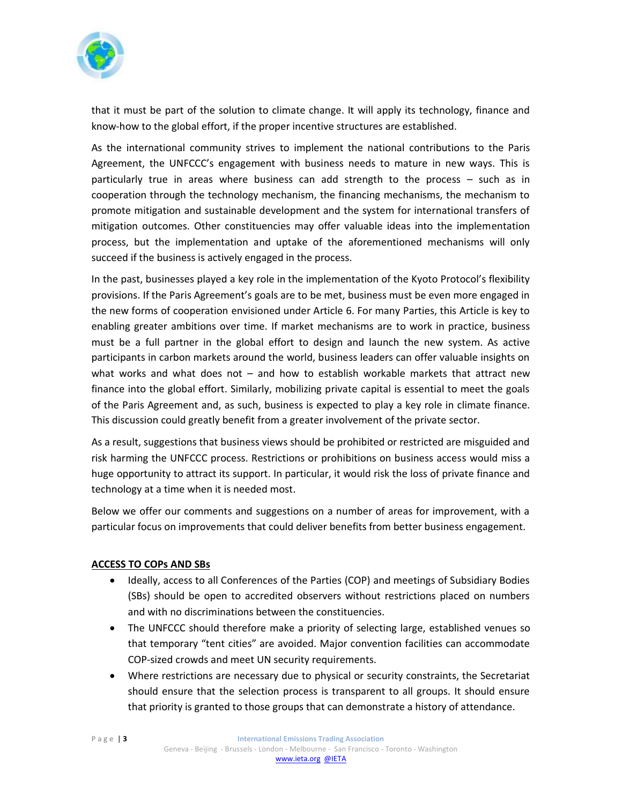

that it must be part of the solution to climate change. It will apply its technology, finance and know-how to the global effort, if the proper incentive structures are established.

As the international community strives to implement the national contributions to the Paris Agreement, the UNFCCC's engagement with business needs to mature in new ways. This is particularly true in areas where business can add strength to the process – such as in cooperation through the technology mechanism, the financing mechanisms, the mechanism to promote mitigation and sustainable development and the system for international transfers of mitigation outcomes. Other constituencies may offer valuable ideas into the implementation process, but the implementation and uptake of the aforementioned mechanisms will only succeed if the business is actively engaged in the process.

In the past, businesses played a key role in the implementation of the Kyoto Protocol's flexibility provisions. If the Paris Agreement's goals are to be met, business must be even more engaged in the new forms of cooperation envisioned under Article 6. For many Parties, this Article is key to enabling greater ambitions over time. If market mechanisms are to work in practice, business must be a full partner in the global effort to design and launch the new system. As active participants in carbon markets around the world, business leaders can offer valuable insights on what works and what does not – and how to establish workable markets that attract new finance into the global effort. Similarly, mobilizing private capital is essential to meet the goals of the Paris Agreement and, as such, business is expected to play a key role in climate finance. This discussion could greatly benefit from a greater involvement of the private sector.

As a result, suggestions that business views should be prohibited or restricted are misguided and risk harming the UNFCCC process. Restrictions or prohibitions on business access would miss a huge opportunity to attract its support. In particular, it would risk the loss of private finance and technology at a time when it is needed most.

Below we offer our comments and suggestions on a number of areas for improvement, with a particular focus on improvements that could deliver benefits from better business engagement.

# **ACCESS TO COPs AND SBs**

- Ideally, access to all Conferences of the Parties (COP) and meetings of Subsidiary Bodies (SBs) should be open to accredited observers without restrictions placed on numbers and with no discriminations between the constituencies.
- The UNFCCC should therefore make a priority of selecting large, established venues so that temporary "tent cities" are avoided. Major convention facilities can accommodate COP-sized crowds and meet UN security requirements.
- Where restrictions are necessary due to physical or security constraints, the Secretariat should ensure that the selection process is transparent to all groups. It should ensure that priority is granted to those groups that can demonstrate a history of attendance.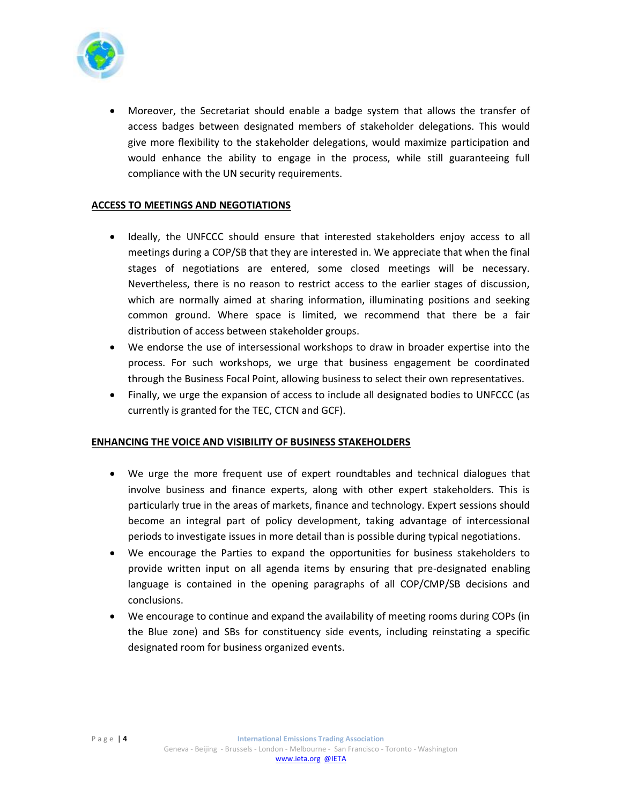

• Moreover, the Secretariat should enable a badge system that allows the transfer of access badges between designated members of stakeholder delegations. This would give more flexibility to the stakeholder delegations, would maximize participation and would enhance the ability to engage in the process, while still guaranteeing full compliance with the UN security requirements.

# **ACCESS TO MEETINGS AND NEGOTIATIONS**

- Ideally, the UNFCCC should ensure that interested stakeholders enjoy access to all meetings during a COP/SB that they are interested in. We appreciate that when the final stages of negotiations are entered, some closed meetings will be necessary. Nevertheless, there is no reason to restrict access to the earlier stages of discussion, which are normally aimed at sharing information, illuminating positions and seeking common ground. Where space is limited, we recommend that there be a fair distribution of access between stakeholder groups.
- We endorse the use of intersessional workshops to draw in broader expertise into the process. For such workshops, we urge that business engagement be coordinated through the Business Focal Point, allowing business to select their own representatives.
- Finally, we urge the expansion of access to include all designated bodies to UNFCCC (as currently is granted for the TEC, CTCN and GCF).

#### **ENHANCING THE VOICE AND VISIBILITY OF BUSINESS STAKEHOLDERS**

- We urge the more frequent use of expert roundtables and technical dialogues that involve business and finance experts, along with other expert stakeholders. This is particularly true in the areas of markets, finance and technology. Expert sessions should become an integral part of policy development, taking advantage of intercessional periods to investigate issues in more detail than is possible during typical negotiations.
- We encourage the Parties to expand the opportunities for business stakeholders to provide written input on all agenda items by ensuring that pre-designated enabling language is contained in the opening paragraphs of all COP/CMP/SB decisions and conclusions.
- We encourage to continue and expand the availability of meeting rooms during COPs (in the Blue zone) and SBs for constituency side events, including reinstating a specific designated room for business organized events.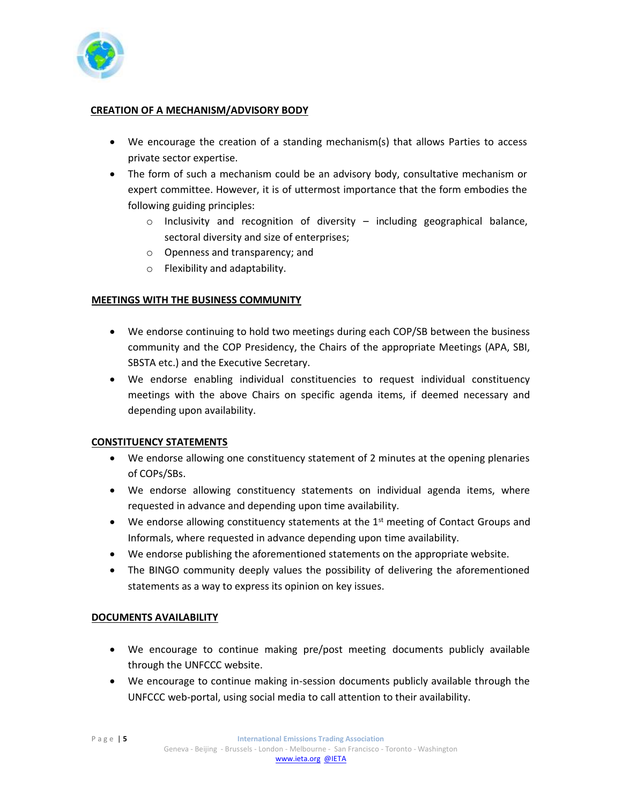

# **CREATION OF A MECHANISM/ADVISORY BODY**

- We encourage the creation of a standing mechanism(s) that allows Parties to access private sector expertise.
- The form of such a mechanism could be an advisory body, consultative mechanism or expert committee. However, it is of uttermost importance that the form embodies the following guiding principles:
	- $\circ$  Inclusivity and recognition of diversity including geographical balance, sectoral diversity and size of enterprises;
	- o Openness and transparency; and
	- o Flexibility and adaptability.

# **MEETINGS WITH THE BUSINESS COMMUNITY**

- We endorse continuing to hold two meetings during each COP/SB between the business community and the COP Presidency, the Chairs of the appropriate Meetings (APA, SBI, SBSTA etc.) and the Executive Secretary.
- We endorse enabling individual constituencies to request individual constituency meetings with the above Chairs on specific agenda items, if deemed necessary and depending upon availability.

#### **CONSTITUENCY STATEMENTS**

- We endorse allowing one constituency statement of 2 minutes at the opening plenaries of COPs/SBs.
- We endorse allowing constituency statements on individual agenda items, where requested in advance and depending upon time availability.
- We endorse allowing constituency statements at the  $1<sup>st</sup>$  meeting of Contact Groups and Informals, where requested in advance depending upon time availability.
- We endorse publishing the aforementioned statements on the appropriate website.
- The BINGO community deeply values the possibility of delivering the aforementioned statements as a way to express its opinion on key issues.

#### **DOCUMENTS AVAILABILITY**

- We encourage to continue making pre/post meeting documents publicly available through the UNFCCC website.
- We encourage to continue making in-session documents publicly available through the UNFCCC web-portal, using social media to call attention to their availability.